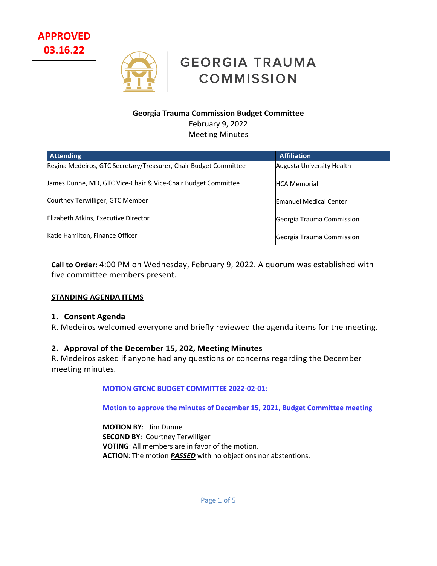**APPROVED 03.16.22**



# **GEORGIA TRAUMA COMMISSION**

## **Georgia Trauma Commission Budget Committee**

February 9, 2022 Meeting Minutes

| <b>Attending</b>                                                 | <b>Affiliation</b>            |
|------------------------------------------------------------------|-------------------------------|
| Regina Medeiros, GTC Secretary/Treasurer, Chair Budget Committee | Augusta University Health     |
| James Dunne, MD, GTC Vice-Chair & Vice-Chair Budget Committee    | <b>HCA Memorial</b>           |
| Courtney Terwilliger, GTC Member                                 | <b>Emanuel Medical Center</b> |
| Elizabeth Atkins, Executive Director                             | Georgia Trauma Commission     |
| Katie Hamilton, Finance Officer                                  | Georgia Trauma Commission     |

**Call to Order:** 4:00 PM on Wednesday, February 9, 2022. A quorum was established with five committee members present.

## **STANDING AGENDA ITEMS**

#### **1. Consent Agenda**

R. Medeiros welcomed everyone and briefly reviewed the agenda items for the meeting.

## **2. Approval of the December 15, 202, Meeting Minutes**

R. Medeiros asked if anyone had any questions or concerns regarding the December meeting minutes.

#### **MOTION GTCNC BUDGET COMMITTEE 2022-02-01:**

**Motion to approve the minutes of December 15, 2021, Budget Committee meeting**

**MOTION BY**: Jim Dunne **SECOND BY**: Courtney Terwilliger **VOTING**: All members are in favor of the motion. **ACTION**: The motion *PASSED* with no objections nor abstentions.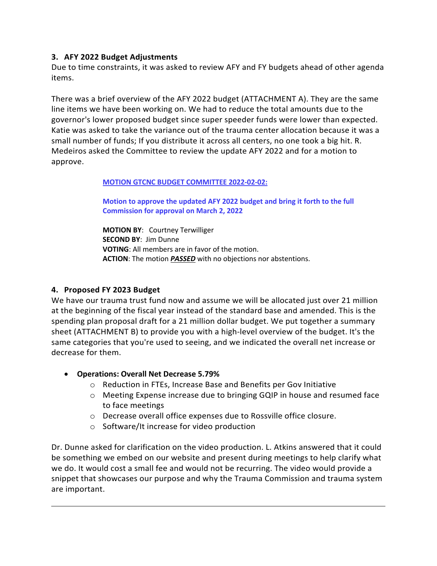## **3. AFY 2022 Budget Adjustments**

Due to time constraints, it was asked to review AFY and FY budgets ahead of other agenda items.

There was a brief overview of the AFY 2022 budget (ATTACHMENT A). They are the same line items we have been working on. We had to reduce the total amounts due to the governor's lower proposed budget since super speeder funds were lower than expected. Katie was asked to take the variance out of the trauma center allocation because it was a small number of funds; If you distribute it across all centers, no one took a big hit. R. Medeiros asked the Committee to review the update AFY 2022 and for a motion to approve.

#### **MOTION GTCNC BUDGET COMMITTEE 2022-02-02:**

**Motion to approve the updated AFY 2022 budget and bring it forth to the full Commission for approval on March 2, 2022** 

**MOTION BY**: Courtney Terwilliger **SECOND BY**: Jim Dunne **VOTING**: All members are in favor of the motion. **ACTION**: The motion *PASSED* with no objections nor abstentions.

## **4. Proposed FY 2023 Budget**

We have our trauma trust fund now and assume we will be allocated just over 21 million at the beginning of the fiscal year instead of the standard base and amended. This is the spending plan proposal draft for a 21 million dollar budget. We put together a summary sheet (ATTACHMENT B) to provide you with a high-level overview of the budget. It's the same categories that you're used to seeing, and we indicated the overall net increase or decrease for them.

- **Operations: Overall Net Decrease 5.79%**
	- o Reduction in FTEs, Increase Base and Benefits per Gov Initiative
	- o Meeting Expense increase due to bringing GQIP in house and resumed face to face meetings
	- o Decrease overall office expenses due to Rossville office closure.
	- o Software/It increase for video production

Dr. Dunne asked for clarification on the video production. L. Atkins answered that it could be something we embed on our website and present during meetings to help clarify what we do. It would cost a small fee and would not be recurring. The video would provide a snippet that showcases our purpose and why the Trauma Commission and trauma system are important.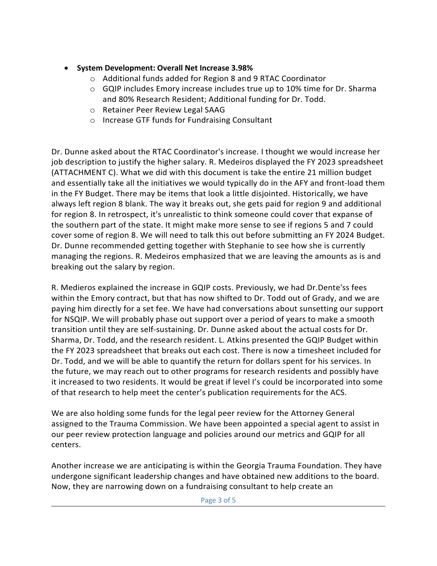- **System Development: Overall Net Increase 3.98%**
	- o Additional funds added for Region 8 and 9 RTAC Coordinator
	- $\circ$  GQIP includes Emory increase includes true up to 10% time for Dr. Sharma and 80% Research Resident; Additional funding for Dr. Todd.
	- o Retainer Peer Review Legal SAAG
	- o Increase GTF funds for Fundraising Consultant

Dr. Dunne asked about the RTAC Coordinator's increase. I thought we would increase her job description to justify the higher salary. R. Medeiros displayed the FY 2023 spreadsheet (ATTACHMENT C). What we did with this document is take the entire 21 million budget and essentially take all the initiatives we would typically do in the AFY and front-load them in the FY Budget. There may be items that look a little disjointed. Historically, we have always left region 8 blank. The way it breaks out, she gets paid for region 9 and additional for region 8. In retrospect, it's unrealistic to think someone could cover that expanse of the southern part of the state. It might make more sense to see if regions 5 and 7 could cover some of region 8. We will need to talk this out before submitting an FY 2024 Budget. Dr. Dunne recommended getting together with Stephanie to see how she is currently managing the regions. R. Medeiros emphasized that we are leaving the amounts as is and breaking out the salary by region.

R. Medieros explained the increase in GQIP costs. Previously, we had Dr.Dente'ss fees within the Emory contract, but that has now shifted to Dr. Todd out of Grady, and we are paying him directly for a set fee. We have had conversations about sunsetting our support for NSQIP. We will probably phase out support over a period of years to make a smooth transition until they are self-sustaining. Dr. Dunne asked about the actual costs for Dr. Sharma, Dr. Todd, and the research resident. L. Atkins presented the GQIP Budget within the FY 2023 spreadsheet that breaks out each cost. There is now a timesheet included for Dr. Todd, and we will be able to quantify the return for dollars spent for his services. In the future, we may reach out to other programs for research residents and possibly have it increased to two residents. It would be great if level I's could be incorporated into some of that research to help meet the center's publication requirements for the ACS.

We are also holding some funds for the legal peer review for the Attorney General assigned to the Trauma Commission. We have been appointed a special agent to assist in our peer review protection language and policies around our metrics and GQIP for all centers.

Another increase we are anticipating is within the Georgia Trauma Foundation. They have undergone significant leadership changes and have obtained new additions to the board. Now, they are narrowing down on a fundraising consultant to help create an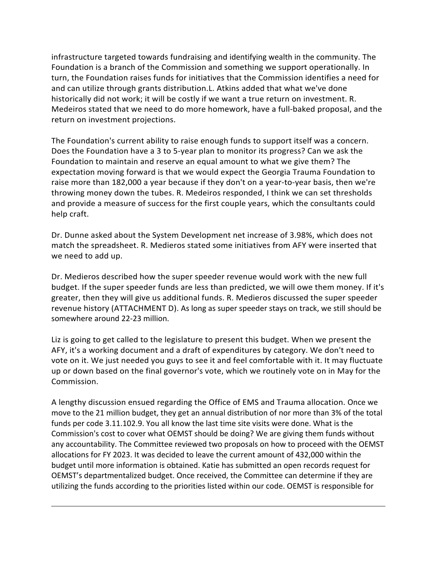infrastructure targeted towards fundraising and identifying wealth in the community. The Foundation is a branch of the Commission and something we support operationally. In turn, the Foundation raises funds for initiatives that the Commission identifies a need for and can utilize through grants distribution.L. Atkins added that what we've done historically did not work; it will be costly if we want a true return on investment. R. Medeiros stated that we need to do more homework, have a full-baked proposal, and the return on investment projections.

The Foundation's current ability to raise enough funds to support itself was a concern. Does the Foundation have a 3 to 5-year plan to monitor its progress? Can we ask the Foundation to maintain and reserve an equal amount to what we give them? The expectation moving forward is that we would expect the Georgia Trauma Foundation to raise more than 182,000 a year because if they don't on a year-to-year basis, then we're throwing money down the tubes. R. Medeiros responded, I think we can set thresholds and provide a measure of success for the first couple years, which the consultants could help craft.

Dr. Dunne asked about the System Development net increase of 3.98%, which does not match the spreadsheet. R. Medieros stated some initiatives from AFY were inserted that we need to add up.

Dr. Medieros described how the super speeder revenue would work with the new full budget. If the super speeder funds are less than predicted, we will owe them money. If it's greater, then they will give us additional funds. R. Medieros discussed the super speeder revenue history (ATTACHMENT D). As long as super speeder stays on track, we still should be somewhere around 22-23 million.

Liz is going to get called to the legislature to present this budget. When we present the AFY, it's a working document and a draft of expenditures by category. We don't need to vote on it. We just needed you guys to see it and feel comfortable with it. It may fluctuate up or down based on the final governor's vote, which we routinely vote on in May for the Commission.

A lengthy discussion ensued regarding the Office of EMS and Trauma allocation. Once we move to the 21 million budget, they get an annual distribution of nor more than 3% of the total funds per code 3.11.102.9. You all know the last time site visits were done. What is the Commission's cost to cover what OEMST should be doing? We are giving them funds without any accountability. The Committee reviewed two proposals on how to proceed with the OEMST allocations for FY 2023. It was decided to leave the current amount of 432,000 within the budget until more information is obtained. Katie has submitted an open records request for OEMST's departmentalized budget. Once received, the Committee can determine if they are utilizing the funds according to the priorities listed within our code. OEMST is responsible for